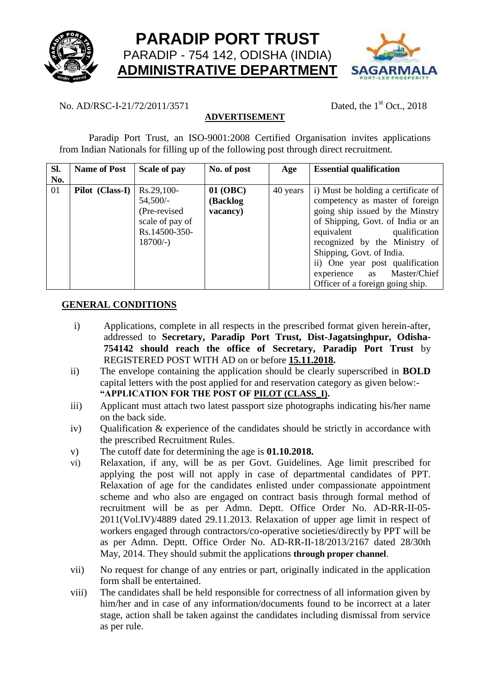



# No. AD/RSC-I-21/72/2011/3571 Dated, the 1<sup>st</sup> Oct., 2018

# **ADVERTISEMENT**

Paradip Port Trust, an ISO-9001:2008 Certified Organisation invites applications from Indian Nationals for filling up of the following post through direct recruitment.

| SI. | <b>Name of Post</b> | Scale of pay    | No. of post | Age      | <b>Essential qualification</b>      |  |
|-----|---------------------|-----------------|-------------|----------|-------------------------------------|--|
| No. |                     |                 |             |          |                                     |  |
| 01  | Pilot (Class-I)     | $Rs.29,100-$    | 01 (OBC)    | 40 years | i) Must be holding a certificate of |  |
|     |                     | $54,500/-$      | (Backlog    |          | competency as master of foreign     |  |
|     |                     | (Pre-revised)   | vacancy)    |          | going ship issued by the Minstry    |  |
|     |                     | scale of pay of |             |          | of Shipping, Govt. of India or an   |  |
|     |                     | Rs.14500-350-   |             |          | equivalent<br>qualification         |  |
|     |                     | $18700/-$       |             |          | recognized by the Ministry of       |  |
|     |                     |                 |             |          | Shipping, Govt. of India.           |  |
|     |                     |                 |             |          | ii) One year post qualification     |  |
|     |                     |                 |             |          | experience as Master/Chief          |  |
|     |                     |                 |             |          | Officer of a foreign going ship.    |  |

### **GENERAL CONDITIONS**

- i) Applications, complete in all respects in the prescribed format given herein-after, addressed to **Secretary, Paradip Port Trust, Dist-Jagatsinghpur, Odisha-754142 should reach the office of Secretary, Paradip Port Trust** by REGISTERED POST WITH AD on or before **15.11.2018.**
- ii) The envelope containing the application should be clearly superscribed in **BOLD** capital letters with the post applied for and reservation category as given below:- **"APPLICATION FOR THE POST OF PILOT (CLASS\_I).**
- iii) Applicant must attach two latest passport size photographs indicating his/her name on the back side.
- iv) Qualification & experience of the candidates should be strictly in accordance with the prescribed Recruitment Rules.
- v) The cutoff date for determining the age is **01.10.2018.**
- vi) Relaxation, if any, will be as per Govt. Guidelines. Age limit prescribed for applying the post will not apply in case of departmental candidates of PPT. Relaxation of age for the candidates enlisted under compassionate appointment scheme and who also are engaged on contract basis through formal method of recruitment will be as per Admn. Deptt. Office Order No. AD-RR-II-05- 2011(Vol.IV)/4889 dated 29.11.2013. Relaxation of upper age limit in respect of workers engaged through contractors/co-operative societies/directly by PPT will be as per Admn. Deptt. Office Order No. AD-RR-II-18/2013/2167 dated 28/30th May, 2014. They should submit the applications **through proper channel**.
- vii) No request for change of any entries or part, originally indicated in the application form shall be entertained.
- viii) The candidates shall be held responsible for correctness of all information given by him/her and in case of any information/documents found to be incorrect at a later stage, action shall be taken against the candidates including dismissal from service as per rule.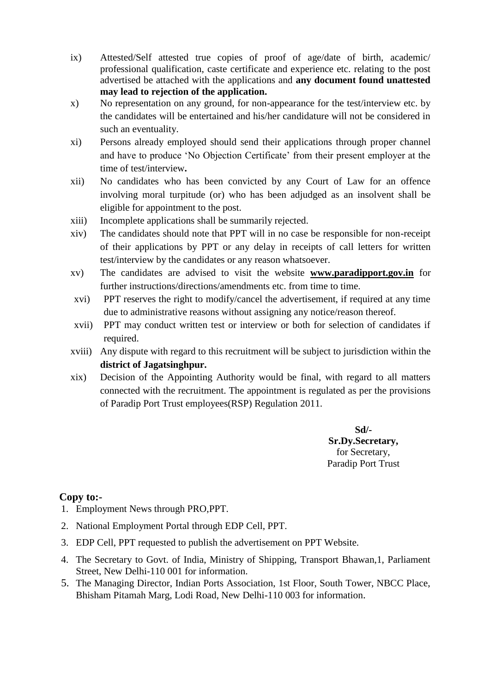- ix) Attested/Self attested true copies of proof of age/date of birth, academic/ professional qualification, caste certificate and experience etc. relating to the post advertised be attached with the applications and **any document found unattested may lead to rejection of the application.**
- x) No representation on any ground, for non-appearance for the test/interview etc. by the candidates will be entertained and his/her candidature will not be considered in such an eventuality.
- xi) Persons already employed should send their applications through proper channel and have to produce 'No Objection Certificate' from their present employer at the time of test/interview**.**
- xii) No candidates who has been convicted by any Court of Law for an offence involving moral turpitude (or) who has been adjudged as an insolvent shall be eligible for appointment to the post.
- xiii) Incomplete applications shall be summarily rejected.
- xiv) The candidates should note that PPT will in no case be responsible for non-receipt of their applications by PPT or any delay in receipts of call letters for written test/interview by the candidates or any reason whatsoever.
- xv) The candidates are advised to visit the website **www.paradipport.gov.in** for further instructions/directions/amendments etc. from time to time.
- xvi) PPT reserves the right to modify/cancel the advertisement, if required at any time due to administrative reasons without assigning any notice/reason thereof.
- xvii) PPT may conduct written test or interview or both for selection of candidates if required.
- xviii) Any dispute with regard to this recruitment will be subject to jurisdiction within the **district of Jagatsinghpur.**
- xix) Decision of the Appointing Authority would be final, with regard to all matters connected with the recruitment. The appointment is regulated as per the provisions of Paradip Port Trust employees(RSP) Regulation 2011.

**Sd/- Sr.Dy.Secretary,** for Secretary, Paradip Port Trust

### **Copy to:-**

- 1. Employment News through PRO,PPT.
- 2. National Employment Portal through EDP Cell, PPT.
- 3. EDP Cell, PPT requested to publish the advertisement on PPT Website.
- 4. The Secretary to Govt. of India, Ministry of Shipping, Transport Bhawan,1, Parliament Street, New Delhi-110 001 for information.
- 5. The Managing Director, Indian Ports Association, 1st Floor, South Tower, NBCC Place, Bhisham Pitamah Marg, Lodi Road, New Delhi-110 003 for information.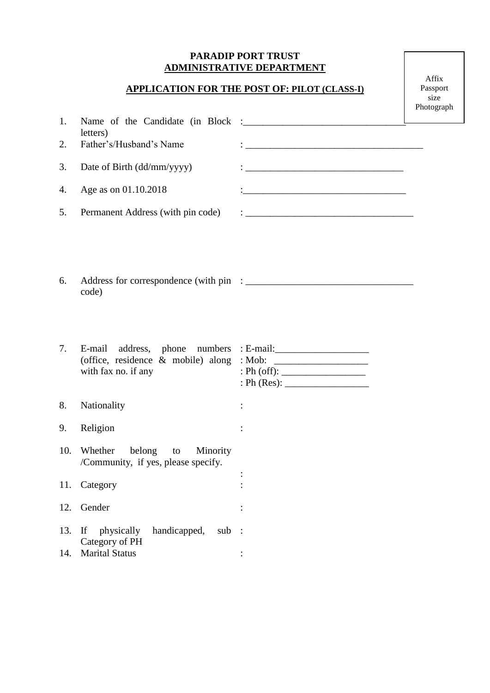## **PARADIP PORT TRUST ADMINISTRATIVE DEPARTMENT**

## **APPLICATION FOR THE POST OF: PILOT (CLASS-I)**

Affix Passport size Photograph

| 1.  | letters)                                                                |                                                                                                                      |  |
|-----|-------------------------------------------------------------------------|----------------------------------------------------------------------------------------------------------------------|--|
| 2.  | Father's/Husband's Name                                                 | <u> 1989 - Johann John Stone, market fan it ferstjer fan it ferstjer fan it ferstjer fan it ferstjer fan it fers</u> |  |
| 3.  | Date of Birth (dd/mm/yyyy)                                              |                                                                                                                      |  |
| 4.  | Age as on 01.10.2018                                                    |                                                                                                                      |  |
| 5.  | Permanent Address (with pin code)                                       |                                                                                                                      |  |
| 6.  | code)                                                                   |                                                                                                                      |  |
| 7.  | E-mail address, phone numbers : E-mail:                                 |                                                                                                                      |  |
|     | with fax no. if any                                                     | : Ph (off): $\frac{1}{\sqrt{1-\frac{1}{2}} \cdot \frac{1}{2}}$                                                       |  |
| 8.  | Nationality                                                             |                                                                                                                      |  |
| 9.  | Religion                                                                |                                                                                                                      |  |
| 10. | Whether<br>belong to<br>Minority<br>/Community, if yes, please specify. |                                                                                                                      |  |
|     | 11. Category                                                            |                                                                                                                      |  |
| 12. | Gender                                                                  |                                                                                                                      |  |
| 13. | handicapped,<br>If<br>physically<br>sub                                 | $\ddot{\phantom{1}}$                                                                                                 |  |
| 14. | Category of PH<br><b>Marital Status</b>                                 |                                                                                                                      |  |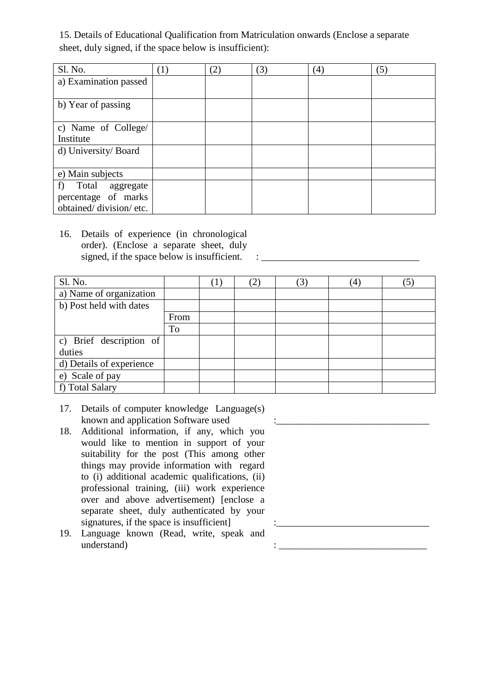15. Details of Educational Qualification from Matriculation onwards (Enclose a separate sheet, duly signed, if the space below is insufficient):

| Sl. No.                | (1) | (2) | (3) | (4) | (5) |
|------------------------|-----|-----|-----|-----|-----|
| a) Examination passed  |     |     |     |     |     |
|                        |     |     |     |     |     |
| b) Year of passing     |     |     |     |     |     |
|                        |     |     |     |     |     |
| c) Name of College/    |     |     |     |     |     |
| Institute              |     |     |     |     |     |
| d) University/ Board   |     |     |     |     |     |
|                        |     |     |     |     |     |
| e) Main subjects       |     |     |     |     |     |
| f)<br>Total aggregate  |     |     |     |     |     |
| percentage of marks    |     |     |     |     |     |
| obtained/division/etc. |     |     |     |     |     |

<sup>16.</sup> Details of experience (in chronological order). (Enclose a separate sheet, duly signed, if the space below is insufficient.  $\therefore$ 

| Sl. No.                  |      | $\left(1\right)$ | (3) | (4) |  |
|--------------------------|------|------------------|-----|-----|--|
| a) Name of organization  |      |                  |     |     |  |
| b) Post held with dates  |      |                  |     |     |  |
|                          | From |                  |     |     |  |
|                          | To   |                  |     |     |  |
| c) Brief description of  |      |                  |     |     |  |
| duties                   |      |                  |     |     |  |
| d) Details of experience |      |                  |     |     |  |
| e) Scale of pay          |      |                  |     |     |  |
| f) Total Salary          |      |                  |     |     |  |

- 17. Details of computer knowledge Language(s) known and application Software used
- 18. Additional information, if any, which you would like to mention in support of your suitability for the post (This among other things may provide information with regard to (i) additional academic qualifications, (ii) professional training, (iii) work experience over and above advertisement) [enclose a separate sheet, duly authenticated by your signatures, if the space is insufficient]
- 19. Language known (Read, write, speak and  $understand)$  :